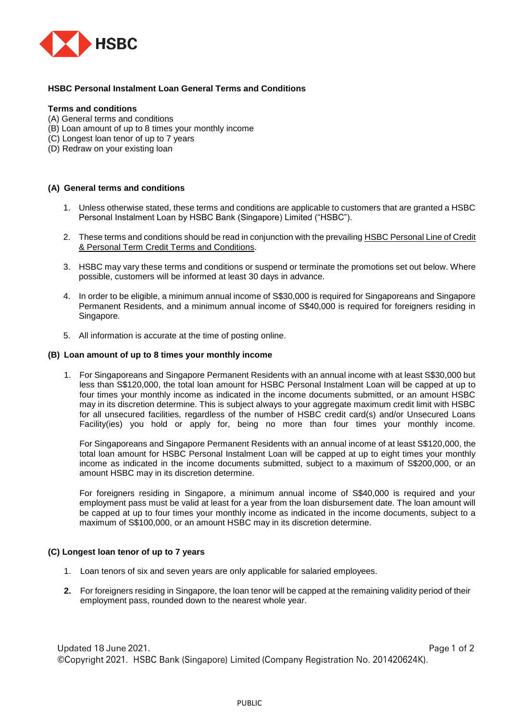

# **HSBC Personal Instalment Loan General Terms and Conditions**

# **Terms and conditions**

- (A) General terms and conditions
- (B) Loan amount of up to 8 times your monthly income
- (C) Longest loan tenor of up to 7 years
- (D) Redraw on your existing loan

### **(A) General terms and conditions**

- 1. Unless otherwise stated, these terms and conditions are applicable to customers that are granted a HSBC Personal Instalment Loan by HSBC Bank (Singapore) Limited ("HSBC").
- 2. These terms and conditions should be read in conjunction with the prevailing HSBC Personal Line of Credit [& Personal Term Credit Terms and Conditions.](https://www.hsbc.com.sg/content/dam/hsbc/sg/documents/personal-line-of-credit-personal-term-terms-conditions.pdf)
- 3. HSBC may vary these terms and conditions or suspend or terminate the promotions set out below. Where possible, customers will be informed at least 30 days in advance.
- 4. In order to be eligible, a minimum annual income of S\$30,000 is required for Singaporeans and Singapore Permanent Residents, and a minimum annual income of S\$40,000 is required for foreigners residing in Singapore.
- 5. All information is accurate at the time of posting online.

#### **(B) Loan amount of up to 8 times your monthly income**

1. For Singaporeans and Singapore Permanent Residents with an annual income with at least S\$30,000 but less than S\$120,000, the total loan amount for HSBC Personal Instalment Loan will be capped at up to four times your monthly income as indicated in the income documents submitted, or an amount HSBC may in its discretion determine. This is subject always to your aggregate maximum credit limit with HSBC for all unsecured facilities, regardless of the number of HSBC credit card(s) and/or Unsecured Loans Facility(ies) you hold or apply for, being no more than four times your monthly income.

For Singaporeans and Singapore Permanent Residents with an annual income of at least S\$120,000, the total loan amount for HSBC Personal Instalment Loan will be capped at up to eight times your monthly income as indicated in the income documents submitted, subject to a maximum of S\$200,000, or an amount HSBC may in its discretion determine.

For foreigners residing in Singapore, a minimum annual income of S\$40,000 is required and your employment pass must be valid at least for a year from the loan disbursement date. The loan amount will be capped at up to four times your monthly income as indicated in the income documents, subject to a maximum of S\$100,000, or an amount HSBC may in its discretion determine.

# **(C) Longest loan tenor of up to 7 years**

- 1. Loan tenors of six and seven years are only applicable for salaried employees.
- **2.** For foreigners residing in Singapore, the loan tenor will be capped at the remaining validity period of their employment pass, rounded down to the nearest whole year.